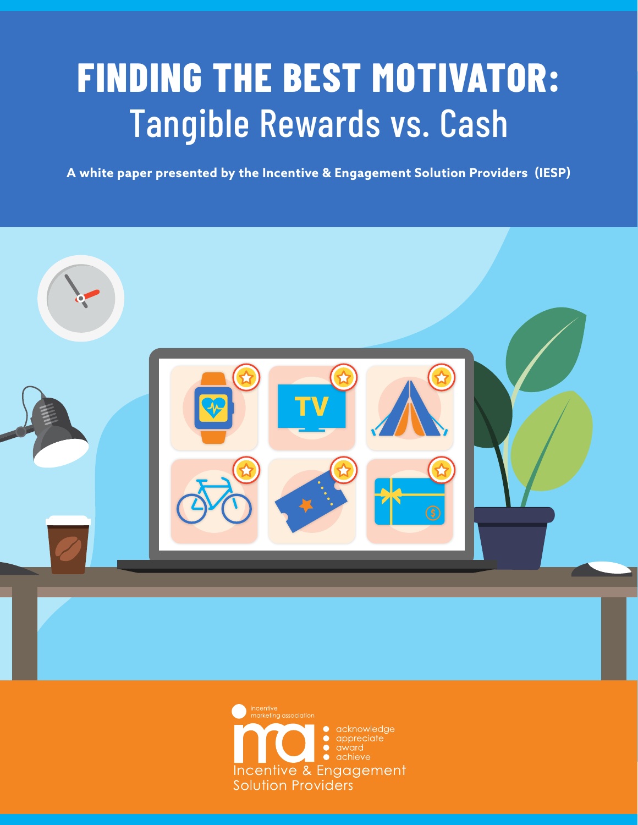# **FINDING THE BEST MOTIVATOR:** Tangible Rewards vs. Cash

**A white paper presented by the Incentive & Engagement Solution Providers (IESP)**



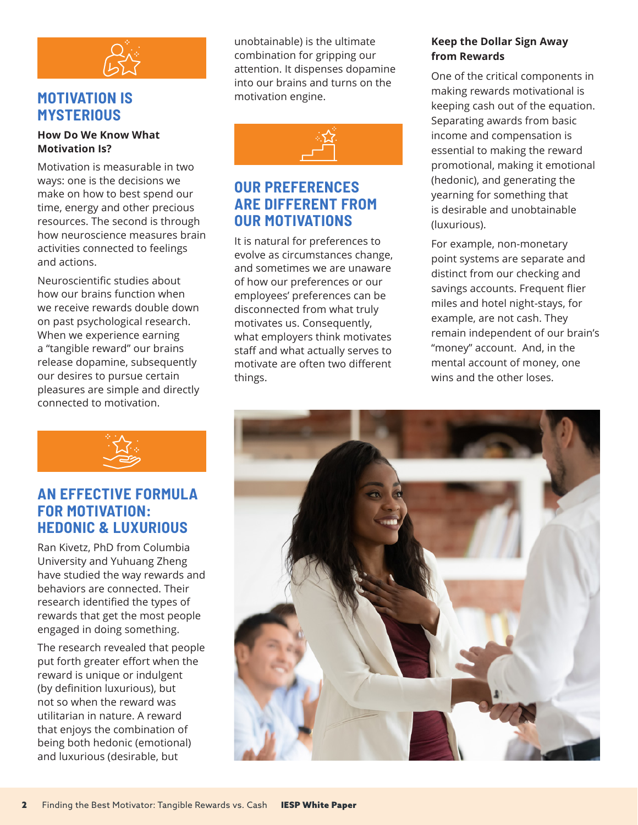

## **MOTIVATION IS MYSTERIOUS**

#### **How Do We Know What Motivation Is?**

Motivation is measurable in two ways: one is the decisions we make on how to best spend our time, energy and other precious resources. The second is through how neuroscience measures brain activities connected to feelings and actions.

Neuroscientific studies about how our brains function when we receive rewards double down on past psychological research. When we experience earning a "tangible reward" our brains release dopamine, subsequently our desires to pursue certain pleasures are simple and directly connected to motivation.



### **AN EFFECTIVE FORMULA FOR MOTIVATION: HEDONIC & LUXURIOUS**

Ran Kivetz, PhD from Columbia University and Yuhuang Zheng have studied the way rewards and behaviors are connected. Their research identified the types of rewards that get the most people engaged in doing something.

The research revealed that people put forth greater effort when the reward is unique or indulgent (by definition luxurious), but not so when the reward was utilitarian in nature. A reward that enjoys the combination of being both hedonic (emotional) and luxurious (desirable, but

unobtainable) is the ultimate combination for gripping our attention. It dispenses dopamine into our brains and turns on the motivation engine.



## **OUR PREFERENCES ARE DIFFERENT FROM OUR MOTIVATIONS**

It is natural for preferences to evolve as circumstances change, and sometimes we are unaware of how our preferences or our employees' preferences can be disconnected from what truly motivates us. Consequently, what employers think motivates staff and what actually serves to motivate are often two different things.

#### **Keep the Dollar Sign Away from Rewards**

One of the critical components in making rewards motivational is keeping cash out of the equation. Separating awards from basic income and compensation is essential to making the reward promotional, making it emotional (hedonic), and generating the yearning for something that is desirable and unobtainable (luxurious).

For example, non-monetary point systems are separate and distinct from our checking and savings accounts. Frequent flier miles and hotel night-stays, for example, are not cash. They remain independent of our brain's "money" account. And, in the mental account of money, one wins and the other loses.

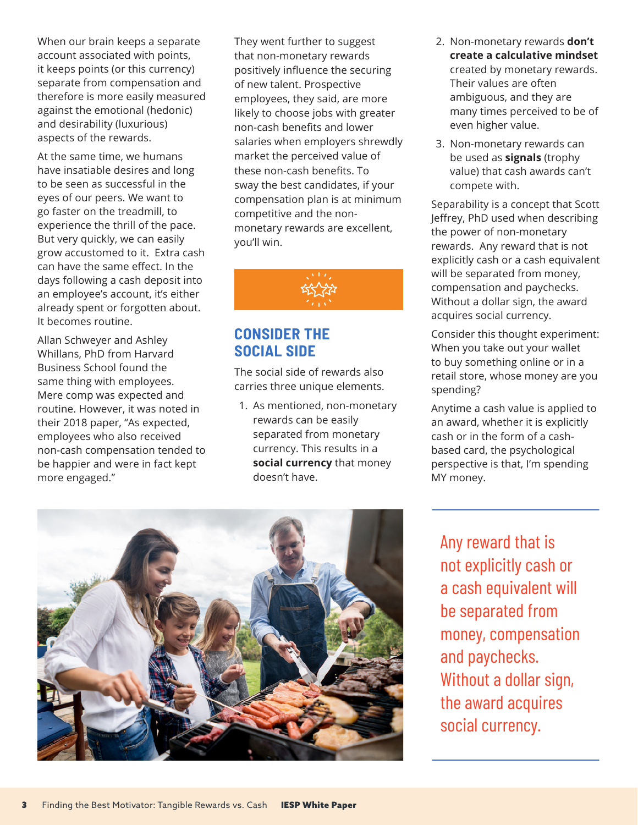When our brain keeps a separate account associated with points, it keeps points (or this currency) separate from compensation and therefore is more easily measured against the emotional (hedonic) and desirability (luxurious) aspects of the rewards.

At the same time, we humans have insatiable desires and long to be seen as successful in the eyes of our peers. We want to go faster on the treadmill, to experience the thrill of the pace. But very quickly, we can easily grow accustomed to it. Extra cash can have the same effect. In the days following a cash deposit into an employee's account, it's either already spent or forgotten about. It becomes routine.

Allan Schweyer and Ashley Whillans, PhD from Harvard Business School found the same thing with employees. Mere comp was expected and routine. However, it was noted in their 2018 paper, "As expected, employees who also received non-cash compensation tended to be happier and were in fact kept more engaged."

They went further to suggest that non-monetary rewards positively influence the securing of new talent. Prospective employees, they said, are more likely to choose jobs with greater non-cash benefits and lower salaries when employers shrewdly market the perceived value of these non-cash benefits. To sway the best candidates, if your compensation plan is at minimum competitive and the nonmonetary rewards are excellent, you'll win.



## **CONSIDER THE SOCIAL SIDE**

The social side of rewards also carries three unique elements.

1. As mentioned, non-monetary rewards can be easily separated from monetary currency. This results in a **social currency** that money doesn't have.

- 2. Non-monetary rewards **don't create a calculative mindset** created by monetary rewards. Their values are often ambiguous, and they are many times perceived to be of even higher value.
- 3. Non-monetary rewards can be used as **signals** (trophy value) that cash awards can't compete with.

Separability is a concept that Scott Jeffrey, PhD used when describing the power of non-monetary rewards. Any reward that is not explicitly cash or a cash equivalent will be separated from money, compensation and paychecks. Without a dollar sign, the award acquires social currency.

Consider this thought experiment: When you take out your wallet to buy something online or in a retail store, whose money are you spending?

Anytime a cash value is applied to an award, whether it is explicitly cash or in the form of a cashbased card, the psychological perspective is that, I'm spending MY money.



Any reward that is not explicitly cash or a cash equivalent will be separated from money, compensation and paychecks. Without a dollar sign, the award acquires social currency.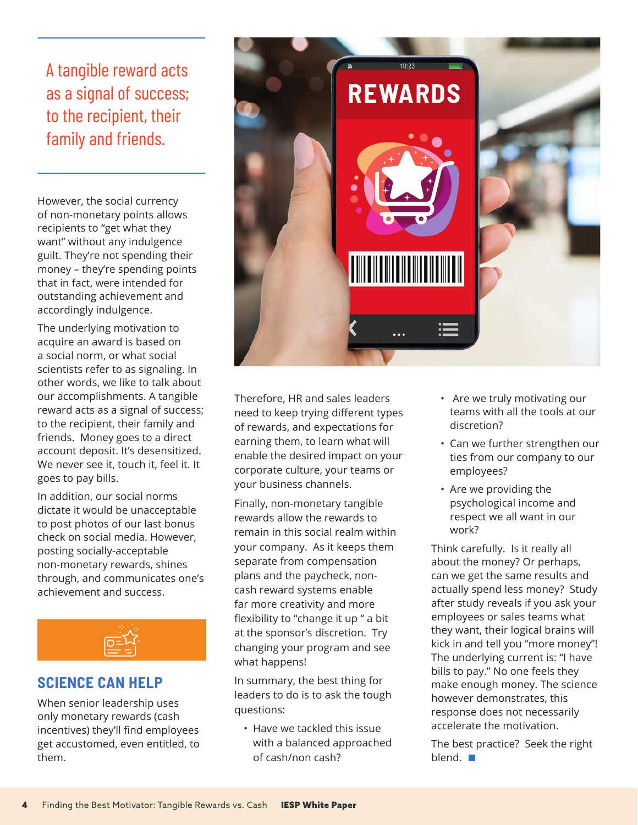A tangible reward acts as a signal of success; to the recipient, their family and friends.

However, the social currency of non-monetary points allows recipients to "get what they want" without any indulgence guilt. They're not spending their money – they're spending points that in fact, were intended for outstanding achievement and accordingly indulgence.

The underlying motivation to acquire an award is based on a social norm, or what social scientists refer to as signaling. In other words, we like to talk about our accomplishments. A tangible reward acts as a signal of success; to the recipient, their family and friends. Money goes to a direct account deposit. It's desensitized. We never see it, touch it, feel it. It goes to pay bills.

In addition, our social norms dictate it would be unacceptable to post photos of our last bonus check on social media. However, posting socially-acceptable non-monetary rewards, shines through, and communicates one's achievement and success.



## **SCIENCE CAN HELP**

When senior leadership uses only monetary rewards (cash incentives) they'll find employees get accustomed, even entitled, to them.



Therefore, HR and sales leaders need to keep trying different types of rewards, and expectations for earning them, to learn what will enable the desired impact on your corporate culture, your teams or your business channels.

Finally, non-monetary tangible rewards allow the rewards to remain in this social realm within your company. As it keeps them separate from compensation plans and the paycheck, noncash reward systems enable far more creativity and more flexibility to "change it up " a bit at the sponsor's discretion. Try changing your program and see what happens!

In summary, the best thing for leaders to do is to ask the tough questions:

• Have we tackled this issue with a balanced approached of cash/non cash?

- Are we truly motivating our teams with all the tools at our discretion?
- Can we further strengthen our ties from our company to our employees?
- Are we providing the psychological income and respect we all want in our work?

Think carefully. Is it really all about the money? Or perhaps, can we get the same results and actually spend less money? Study after study reveals if you ask your employees or sales teams what they want, their logical brains will kick in and tell you "more money"! The underlying current is: "I have bills to pay." No one feels they make enough money. The science however demonstrates, this response does not necessarily accelerate the motivation.

The best practice? Seek the right blend.